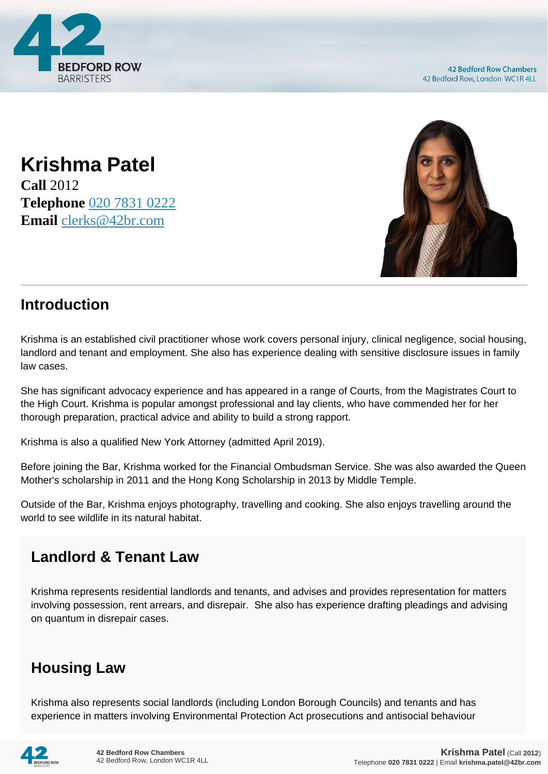

**Krishma Patel Call** 2012 **Telephone** [020 7831 0222](https://pdf.codeshore.co/_42br/tel:020 7831 0222) **Email** [clerks@42br.com](mailto:clerks@42br.com)



## **Introduction**

Krishma is an established civil practitioner whose work covers personal injury, clinical negligence, social housing, landlord and tenant and employment. She also has experience dealing with sensitive disclosure issues in family law cases.

She has significant advocacy experience and has appeared in a range of Courts, from the Magistrates Court to the High Court. Krishma is popular amongst professional and lay clients, who have commended her for her thorough preparation, practical advice and ability to build a strong rapport.

Krishma is also a qualified New York Attorney (admitted April 2019).

Before joining the Bar, Krishma worked for the Financial Ombudsman Service. She was also awarded the Queen Mother's scholarship in 2011 and the Hong Kong Scholarship in 2013 by Middle Temple.

Outside of the Bar, Krishma enjoys photography, travelling and cooking. She also enjoys travelling around the world to see wildlife in its natural habitat.

## **Landlord & Tenant Law**

Krishma represents residential landlords and tenants, and advises and provides representation for matters involving possession, rent arrears, and disrepair. She also has experience drafting pleadings and advising on quantum in disrepair cases.

## **Housing Law**

Krishma also represents social landlords (including London Borough Councils) and tenants and has experience in matters involving Environmental Protection Act prosecutions and antisocial behaviour